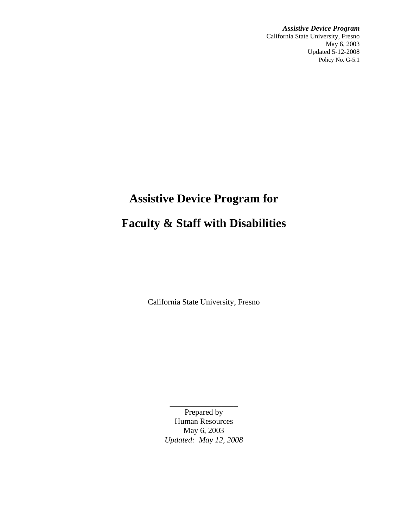*Assistive Device Program*  California State University, Fresno May 6, 2003 Updated 5-12-2008 Policy No. G-5.1

# **Assistive Device Program for Faculty & Staff with Disabilities**

California State University, Fresno

Prepared by Human Resources May 6, 2003 *Updated: May 12, 2008* 

 $\overline{\phantom{a}}$  , where  $\overline{\phantom{a}}$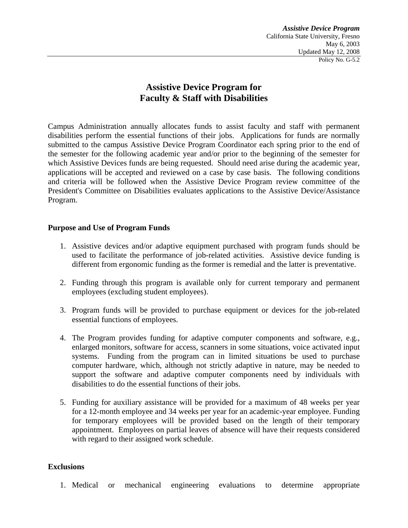*Assistive Device Program*  California State University, Fresno May 6, 2003 Updated May 12, 2008 Policy No. G-5.2

## **Assistive Device Program for Faculty & Staff with Disabilities**

Campus Administration annually allocates funds to assist faculty and staff with permanent disabilities perform the essential functions of their jobs. Applications for funds are normally submitted to the campus Assistive Device Program Coordinator each spring prior to the end of the semester for the following academic year and/or prior to the beginning of the semester for which Assistive Devices funds are being requested. Should need arise during the academic year, applications will be accepted and reviewed on a case by case basis. The following conditions and criteria will be followed when the Assistive Device Program review committee of the President's Committee on Disabilities evaluates applications to the Assistive Device/Assistance Program.

#### **Purpose and Use of Program Funds**

- 1. Assistive devices and/or adaptive equipment purchased with program funds should be used to facilitate the performance of job-related activities. Assistive device funding is different from ergonomic funding as the former is remedial and the latter is preventative.
- 2. Funding through this program is available only for current temporary and permanent employees (excluding student employees).
- 3. Program funds will be provided to purchase equipment or devices for the job-related essential functions of employees.
- 4. The Program provides funding for adaptive computer components and software, e.g., enlarged monitors, software for access, scanners in some situations, voice activated input systems. Funding from the program can in limited situations be used to purchase computer hardware, which, although not strictly adaptive in nature, may be needed to support the software and adaptive computer components need by individuals with disabilities to do the essential functions of their jobs.
- 5. Funding for auxiliary assistance will be provided for a maximum of 48 weeks per year for a 12-month employee and 34 weeks per year for an academic-year employee. Funding for temporary employees will be provided based on the length of their temporary appointment. Employees on partial leaves of absence will have their requests considered with regard to their assigned work schedule.

#### **Exclusions**

1. Medical or mechanical engineering evaluations to determine appropriate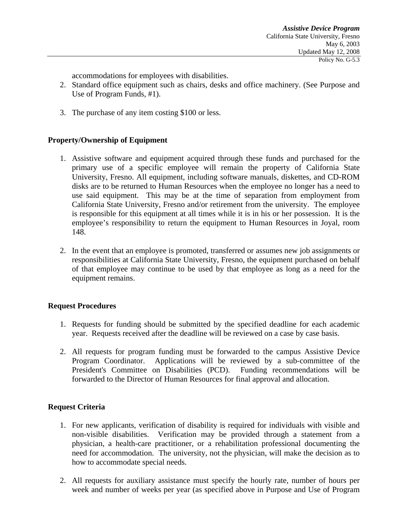accommodations for employees with disabilities.

- 2. Standard office equipment such as chairs, desks and office machinery. (See Purpose and Use of Program Funds, #1).
- 3. The purchase of any item costing \$100 or less.

#### **Property/Ownership of Equipment**

- 1. Assistive software and equipment acquired through these funds and purchased for the primary use of a specific employee will remain the property of California State University, Fresno. All equipment, including software manuals, diskettes, and CD-ROM disks are to be returned to Human Resources when the employee no longer has a need to use said equipment. This may be at the time of separation from employment from California State University, Fresno and/or retirement from the university. The employee is responsible for this equipment at all times while it is in his or her possession. It is the employee's responsibility to return the equipment to Human Resources in Joyal, room 148.
- 2. In the event that an employee is promoted, transferred or assumes new job assignments or responsibilities at California State University, Fresno, the equipment purchased on behalf of that employee may continue to be used by that employee as long as a need for the equipment remains.

#### **Request Procedures**

- 1. Requests for funding should be submitted by the specified deadline for each academic year. Requests received after the deadline will be reviewed on a case by case basis.
- 2. All requests for program funding must be forwarded to the campus Assistive Device Program Coordinator. Applications will be reviewed by a sub-committee of the President's Committee on Disabilities (PCD). Funding recommendations will be forwarded to the Director of Human Resources for final approval and allocation.

#### **Request Criteria**

- 1. For new applicants, verification of disability is required for individuals with visible and non-visible disabilities. Verification may be provided through a statement from a physician, a health-care practitioner, or a rehabilitation professional documenting the need for accommodation. The university, not the physician, will make the decision as to how to accommodate special needs.
- 2. All requests for auxiliary assistance must specify the hourly rate, number of hours per week and number of weeks per year (as specified above in Purpose and Use of Program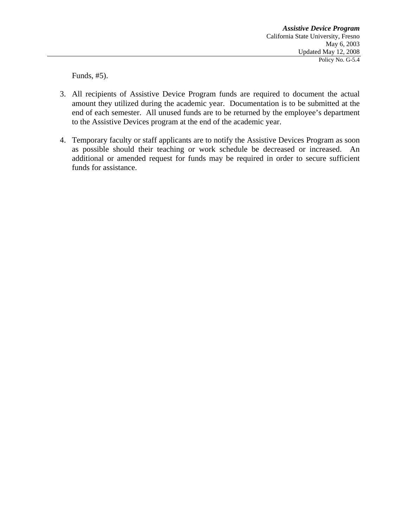Funds, #5).

- 3. All recipients of Assistive Device Program funds are required to document the actual amount they utilized during the academic year. Documentation is to be submitted at the end of each semester. All unused funds are to be returned by the employee's department to the Assistive Devices program at the end of the academic year.
- 4. Temporary faculty or staff applicants are to notify the Assistive Devices Program as soon as possible should their teaching or work schedule be decreased or increased. An additional or amended request for funds may be required in order to secure sufficient funds for assistance.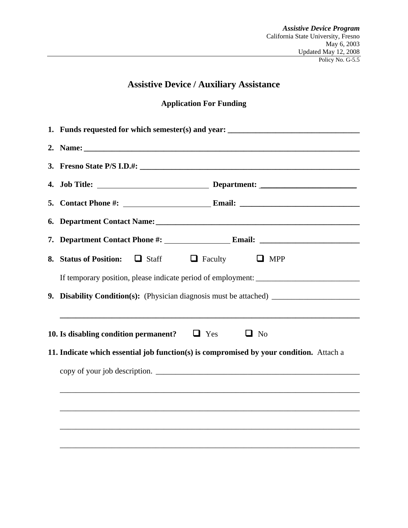# **Assistive Device / Auxiliary Assistance**

## **Application For Funding**

|                                                                                         | 1. Funds requested for which semester(s) and year: _____________________________                                                                  |  |  |  |  |  |
|-----------------------------------------------------------------------------------------|---------------------------------------------------------------------------------------------------------------------------------------------------|--|--|--|--|--|
|                                                                                         |                                                                                                                                                   |  |  |  |  |  |
|                                                                                         |                                                                                                                                                   |  |  |  |  |  |
|                                                                                         |                                                                                                                                                   |  |  |  |  |  |
|                                                                                         |                                                                                                                                                   |  |  |  |  |  |
|                                                                                         | 6. Department Contact Name: 1986. The Contract Order of Name: 1986. Department Contact Name: 1986.                                                |  |  |  |  |  |
|                                                                                         |                                                                                                                                                   |  |  |  |  |  |
|                                                                                         | 8. Status of Position:<br>$\Box$ Staff<br>$\Box$ Faculty $\Box$ MPP                                                                               |  |  |  |  |  |
|                                                                                         |                                                                                                                                                   |  |  |  |  |  |
|                                                                                         | 9. Disability Condition(s): (Physician diagnosis must be attached) _________________________________                                              |  |  |  |  |  |
|                                                                                         | ,我们也不会有什么。""我们的人,我们也不会有什么?""我们的人,我们也不会有什么?""我们的人,我们也不会有什么?""我们的人,我们也不会有什么?""我们的人<br>10. Is disabling condition permanent? $\Box$ Yes<br>$\Box$ No |  |  |  |  |  |
| 11. Indicate which essential job function(s) is compromised by your condition. Attach a |                                                                                                                                                   |  |  |  |  |  |
|                                                                                         |                                                                                                                                                   |  |  |  |  |  |
|                                                                                         |                                                                                                                                                   |  |  |  |  |  |
|                                                                                         |                                                                                                                                                   |  |  |  |  |  |
|                                                                                         |                                                                                                                                                   |  |  |  |  |  |
|                                                                                         |                                                                                                                                                   |  |  |  |  |  |